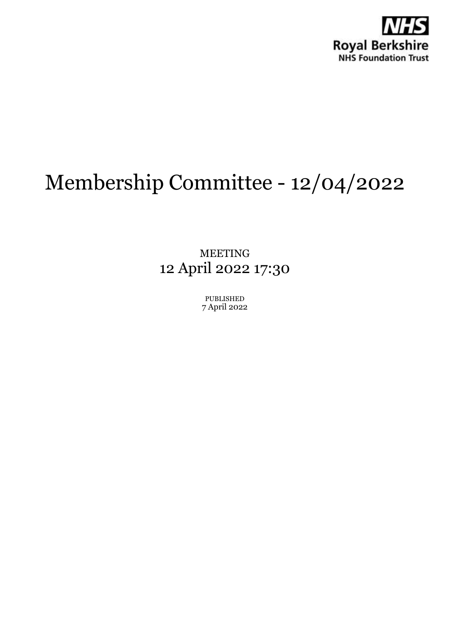

# Membership Committee - 12/04/2022

MEETING 12 April 2022 17:30

> PUBLISHED 7 April 2022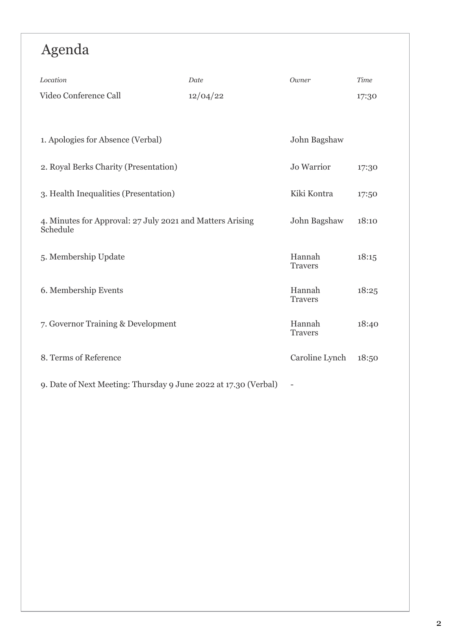## Agenda

| Location                                                              | Date     | Owner                    | <b>Time</b> |
|-----------------------------------------------------------------------|----------|--------------------------|-------------|
| Video Conference Call                                                 | 12/04/22 |                          | 17:30       |
|                                                                       |          |                          |             |
| 1. Apologies for Absence (Verbal)                                     |          | John Bagshaw             |             |
| 2. Royal Berks Charity (Presentation)                                 |          | <b>Jo Warrior</b>        | 17:30       |
| 3. Health Inequalities (Presentation)                                 |          | Kiki Kontra              | 17:50       |
| 4. Minutes for Approval: 27 July 2021 and Matters Arising<br>Schedule |          | John Bagshaw             | 18:10       |
| 5. Membership Update                                                  |          | Hannah<br><b>Travers</b> | 18:15       |
| 6. Membership Events                                                  |          | Hannah<br><b>Travers</b> | 18:25       |
| 7. Governor Training & Development                                    |          | Hannah<br><b>Travers</b> | 18:40       |
| 8. Terms of Reference                                                 |          | Caroline Lynch           | 18:50       |
| 9. Date of Next Meeting: Thursday 9 June 2022 at 17.30 (Verbal)       |          |                          |             |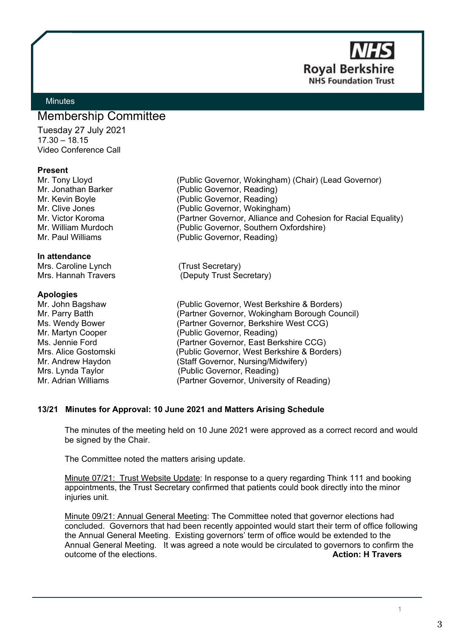

## <span id="page-2-0"></span>**Minutes**

## Membership Committee

Tuesday 27 July 2021 17.30 – 18.15 Video Conference Call

## **Present**

### **In attendance**

Mrs. Caroline Lynch (Trust Secretary)

### **Apologies**

Mr. Tony Lloyd (Public Governor, Wokingham) (Chair) (Lead Governor) Mr. Jonathan Barker (Public Governor, Reading) Mr. Kevin Boyle **(Public Governor, Reading)** Mr. Clive Jones (Public Governor, Wokingham) Mr. Victor Koroma (Partner Governor, Alliance and Cohesion for Racial Equality) Mr. William Murdoch (Public Governor, Southern Oxfordshire)<br>Mr. Paul Williams (Public Governor, Reading) (Public Governor, Reading)

Mrs. Hannah Travers (Deputy Trust Secretary)

Mr. John Bagshaw (Public Governor, West Berkshire & Borders)<br>Mr. Parry Batth (Partner Governor, Wokingham Borough Cou (Partner Governor, Wokingham Borough Council) Ms. Wendy Bower (Partner Governor, Berkshire West CCG) Mr. Martyn Cooper (Public Governor, Reading)<br>
Ms. Jennie Ford (Partner Governor, East Be (Partner Governor, East Berkshire CCG) Mrs. Alice Gostomski (Public Governor, West Berkshire & Borders) Mr. Andrew Haydon (Staff Governor, Nursing/Midwifery) Mrs. Lynda Taylor (Public Governor, Reading)<br>Mr. Adrian Williams (Partner Governor, Universit (Partner Governor, University of Reading)

## **13/21 Minutes for Approval: 10 June 2021 and Matters Arising Schedule**

The minutes of the meeting held on 10 June 2021 were approved as a correct record and would be signed by the Chair.

The Committee noted the matters arising update.

Minute 07/21: Trust Website Update: In response to a query regarding Think 111 and booking appointments, the Trust Secretary confirmed that patients could book directly into the minor injuries unit.

Minute 09/21: Annual General Meeting: The Committee noted that governor elections had concluded. Governors that had been recently appointed would start their term of office following the Annual General Meeting. Existing governors' term of office would be extended to the Annual General Meeting. It was agreed a note would be circulated to governors to confirm the outcome of the elections. **Action: H Travers**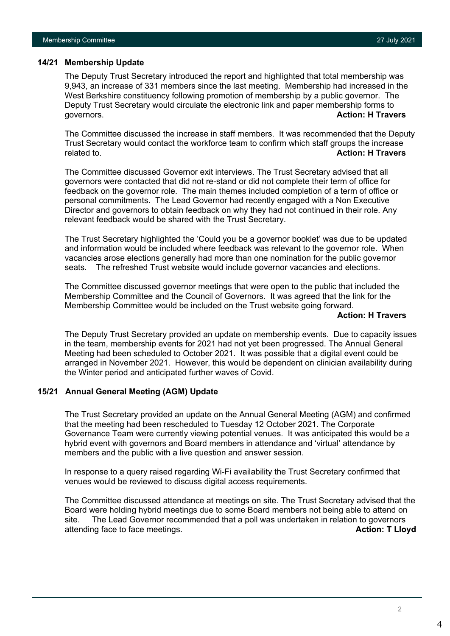## **14/21 Membership Update**

The Deputy Trust Secretary introduced the report and highlighted that total membership was 9,943, an increase of 331 members since the last meeting. Membership had increased in the West Berkshire constituency following promotion of membership by a public governor. The Deputy Trust Secretary would circulate the electronic link and paper membership forms to governors. **Action: H Travers**

The Committee discussed the increase in staff members. It was recommended that the Deputy Trust Secretary would contact the workforce team to confirm which staff groups the increase related to. **Action: H Travers**

The Committee discussed Governor exit interviews. The Trust Secretary advised that all governors were contacted that did not re-stand or did not complete their term of office for feedback on the governor role. The main themes included completion of a term of office or personal commitments. The Lead Governor had recently engaged with a Non Executive Director and governors to obtain feedback on why they had not continued in their role. Any relevant feedback would be shared with the Trust Secretary.

The Trust Secretary highlighted the 'Could you be a governor booklet' was due to be updated and information would be included where feedback was relevant to the governor role. When vacancies arose elections generally had more than one nomination for the public governor seats. The refreshed Trust website would include governor vacancies and elections.

The Committee discussed governor meetings that were open to the public that included the Membership Committee and the Council of Governors. It was agreed that the link for the Membership Committee would be included on the Trust website going forward.

### **Action: H Travers**

The Deputy Trust Secretary provided an update on membership events. Due to capacity issues in the team, membership events for 2021 had not yet been progressed. The Annual General Meeting had been scheduled to October 2021. It was possible that a digital event could be arranged in November 2021. However, this would be dependent on clinician availability during the Winter period and anticipated further waves of Covid.

## **15/21 Annual General Meeting (AGM) Update**

The Trust Secretary provided an update on the Annual General Meeting (AGM) and confirmed that the meeting had been rescheduled to Tuesday 12 October 2021. The Corporate Governance Team were currently viewing potential venues. It was anticipated this would be a hybrid event with governors and Board members in attendance and 'virtual' attendance by members and the public with a live question and answer session.

In response to a query raised regarding Wi-Fi availability the Trust Secretary confirmed that venues would be reviewed to discuss digital access requirements.

The Committee discussed attendance at meetings on site. The Trust Secretary advised that the Board were holding hybrid meetings due to some Board members not being able to attend on site. The Lead Governor recommended that a poll was undertaken in relation to governors attending face to face meetings. **Action: T Lloyd**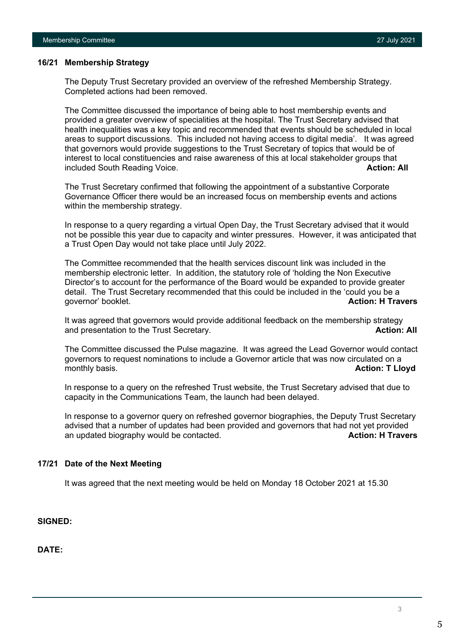## **16/21 Membership Strategy**

The Deputy Trust Secretary provided an overview of the refreshed Membership Strategy. Completed actions had been removed.

The Committee discussed the importance of being able to host membership events and provided a greater overview of specialities at the hospital. The Trust Secretary advised that health inequalities was a key topic and recommended that events should be scheduled in local areas to support discussions. This included not having access to digital media'. It was agreed that governors would provide suggestions to the Trust Secretary of topics that would be of interest to local constituencies and raise awareness of this at local stakeholder groups that included South Reading Voice. **Action: All** and the state of the state of the state of the state of the state of the state of the state of the state of the state of the state of the state of the state of the state of the s

The Trust Secretary confirmed that following the appointment of a substantive Corporate Governance Officer there would be an increased focus on membership events and actions within the membership strategy.

In response to a query regarding a virtual Open Day, the Trust Secretary advised that it would not be possible this year due to capacity and winter pressures. However, it was anticipated that a Trust Open Day would not take place until July 2022.

The Committee recommended that the health services discount link was included in the membership electronic letter. In addition, the statutory role of 'holding the Non Executive Director's to account for the performance of the Board would be expanded to provide greater detail. The Trust Secretary recommended that this could be included in the 'could you be a governor' booklet. **Action: H Travers** and Travers and Travers and Travers and Travers and Travers and Travers and Travers and Travers and Travers and Travers and Travers and Travers and Travers and Travers and Travers and

It was agreed that governors would provide additional feedback on the membership strategy and presentation to the Trust Secretary. **Action: All**

The Committee discussed the Pulse magazine. It was agreed the Lead Governor would contact governors to request nominations to include a Governor article that was now circulated on a monthly basis. **Action: T Lloyd**

In response to a query on the refreshed Trust website, the Trust Secretary advised that due to capacity in the Communications Team, the launch had been delayed.

In response to a governor query on refreshed governor biographies, the Deputy Trust Secretary advised that a number of updates had been provided and governors that had not yet provided an updated biography would be contacted. **Action: H Travers Action: H Travers** 

## **17/21 Date of the Next Meeting**

It was agreed that the next meeting would be held on Monday 18 October 2021 at 15.30

**SIGNED:** 

**DATE:**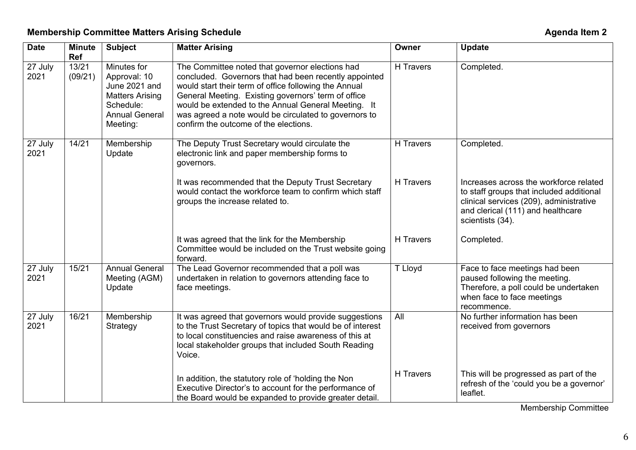| <b>Date</b>     | <b>Minute</b><br>Ref | <b>Subject</b>                                                                                                           | <b>Matter Arising</b>                                                                                                                                                                                                                                                                                                                                                             | Owner     | <b>Update</b>                                                                                                                                                                          |
|-----------------|----------------------|--------------------------------------------------------------------------------------------------------------------------|-----------------------------------------------------------------------------------------------------------------------------------------------------------------------------------------------------------------------------------------------------------------------------------------------------------------------------------------------------------------------------------|-----------|----------------------------------------------------------------------------------------------------------------------------------------------------------------------------------------|
| 27 July<br>2021 | 13/21<br>(09/21)     | Minutes for<br>Approval: 10<br>June 2021 and<br><b>Matters Arising</b><br>Schedule:<br><b>Annual General</b><br>Meeting: | The Committee noted that governor elections had<br>concluded. Governors that had been recently appointed<br>would start their term of office following the Annual<br>General Meeting. Existing governors' term of office<br>would be extended to the Annual General Meeting. It<br>was agreed a note would be circulated to governors to<br>confirm the outcome of the elections. | H Travers | Completed.                                                                                                                                                                             |
| 27 July<br>2021 | 14/21                | Membership<br>Update                                                                                                     | The Deputy Trust Secretary would circulate the<br>electronic link and paper membership forms to<br>governors.                                                                                                                                                                                                                                                                     | H Travers | Completed.                                                                                                                                                                             |
|                 |                      |                                                                                                                          | It was recommended that the Deputy Trust Secretary<br>would contact the workforce team to confirm which staff<br>groups the increase related to.                                                                                                                                                                                                                                  | H Travers | Increases across the workforce related<br>to staff groups that included additional<br>clinical services (209), administrative<br>and clerical (111) and healthcare<br>scientists (34). |
|                 |                      |                                                                                                                          | It was agreed that the link for the Membership<br>Committee would be included on the Trust website going<br>forward.                                                                                                                                                                                                                                                              | H Travers | Completed.                                                                                                                                                                             |
| 27 July<br>2021 | 15/21                | <b>Annual General</b><br>Meeting (AGM)<br>Update                                                                         | The Lead Governor recommended that a poll was<br>undertaken in relation to governors attending face to<br>face meetings.                                                                                                                                                                                                                                                          | T Lloyd   | Face to face meetings had been<br>paused following the meeting.<br>Therefore, a poll could be undertaken<br>when face to face meetings<br>recommence.                                  |
| 27 July<br>2021 | 16/21                | Membership<br>Strategy                                                                                                   | It was agreed that governors would provide suggestions<br>to the Trust Secretary of topics that would be of interest<br>to local constituencies and raise awareness of this at<br>local stakeholder groups that included South Reading<br>Voice.                                                                                                                                  | All       | No further information has been<br>received from governors                                                                                                                             |
|                 |                      |                                                                                                                          | In addition, the statutory role of 'holding the Non<br>Executive Director's to account for the performance of<br>the Board would be expanded to provide greater detail.                                                                                                                                                                                                           | H Travers | This will be progressed as part of the<br>refresh of the 'could you be a governor'<br>leaflet.                                                                                         |

Membership Committee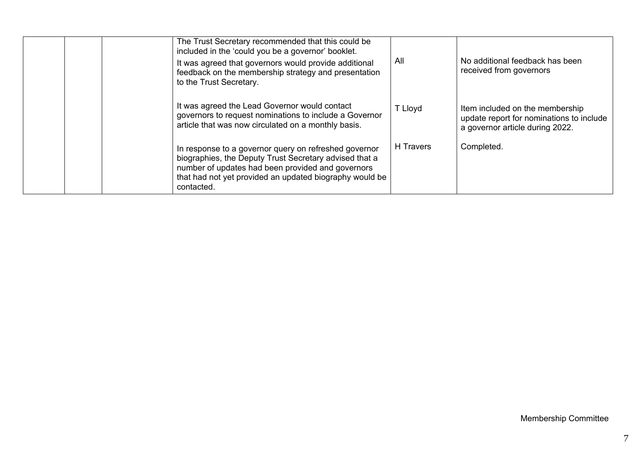| The Trust Secretary recommended that this could be<br>included in the 'could you be a governor' booklet.<br>It was agreed that governors would provide additional<br>feedback on the membership strategy and presentation<br>to the Trust Secretary. |                                                         | All       | No additional feedback has been<br>received from governors                                                     |
|------------------------------------------------------------------------------------------------------------------------------------------------------------------------------------------------------------------------------------------------------|---------------------------------------------------------|-----------|----------------------------------------------------------------------------------------------------------------|
| It was agreed the Lead Governor would contact<br>governors to request nominations to include a Governor<br>article that was now circulated on a monthly basis.                                                                                       |                                                         | T Lloyd   | Item included on the membership<br>update report for nominations to include<br>a governor article during 2022. |
| In response to a governor query on refreshed governor<br>biographies, the Deputy Trust Secretary advised that a<br>number of updates had been provided and governors<br>contacted.                                                                   | that had not yet provided an updated biography would be | H Travers | Completed.                                                                                                     |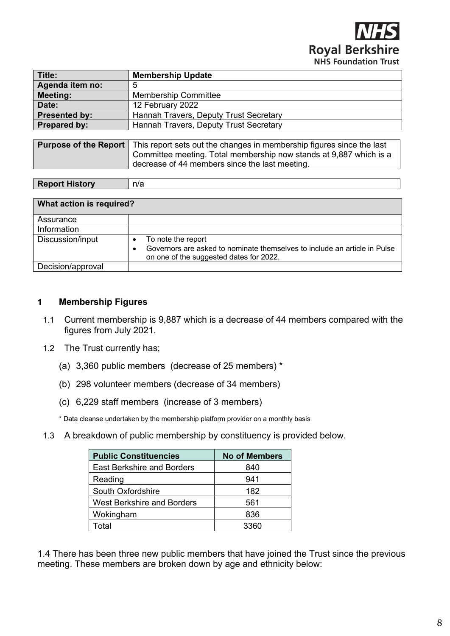

<span id="page-7-0"></span>

| Title:                       | <b>Membership Update</b>                                                                                             |  |  |
|------------------------------|----------------------------------------------------------------------------------------------------------------------|--|--|
| Agenda item no:              | 5                                                                                                                    |  |  |
| <b>Meeting:</b>              | <b>Membership Committee</b>                                                                                          |  |  |
| Date:                        | 12 February 2022                                                                                                     |  |  |
| <b>Presented by:</b>         | Hannah Travers, Deputy Trust Secretary                                                                               |  |  |
| <b>Prepared by:</b>          | Hannah Travers, Deputy Trust Secretary                                                                               |  |  |
|                              |                                                                                                                      |  |  |
| <b>Purpose of the Report</b> | This report sets out the changes in membership figures since the last                                                |  |  |
|                              | Committee meeting. Total membership now stands at 9,887 which is a<br>decrease of 44 members since the last meeting. |  |  |

| <b>Report History</b> |
|-----------------------|
|                       |

| What action is required? |                                                                                                                           |
|--------------------------|---------------------------------------------------------------------------------------------------------------------------|
| Assurance                |                                                                                                                           |
| Information              |                                                                                                                           |
| Discussion/input         | To note the report                                                                                                        |
|                          | Governors are asked to nominate themselves to include an article in Pulse<br>٠<br>on one of the suggested dates for 2022. |
| Decision/approval        |                                                                                                                           |

## **1 Membership Figures**

- 1.1 Current membership is 9,887 which is a decrease of 44 members compared with the figures from July 2021.
- 1.2 The Trust currently has;
	- (a) 3,360 public members (decrease of 25 members) \*
	- (b) 298 volunteer members (decrease of 34 members)
	- (c) 6,229 staff members (increase of 3 members)

n/a

\* Data cleanse undertaken by the membership platform provider on a monthly basis

1.3 A breakdown of public membership by constituency is provided below.

| <b>Public Constituencies</b>      | <b>No of Members</b> |
|-----------------------------------|----------------------|
| <b>East Berkshire and Borders</b> | 840                  |
| Reading                           | 941                  |
| South Oxfordshire                 | 182                  |
| <b>West Berkshire and Borders</b> | 561                  |
| Wokingham                         | 836                  |
| otal <sup>-</sup>                 | 3360                 |

1.4 There has been three new public members that have joined the Trust since the previous meeting. These members are broken down by age and ethnicity below: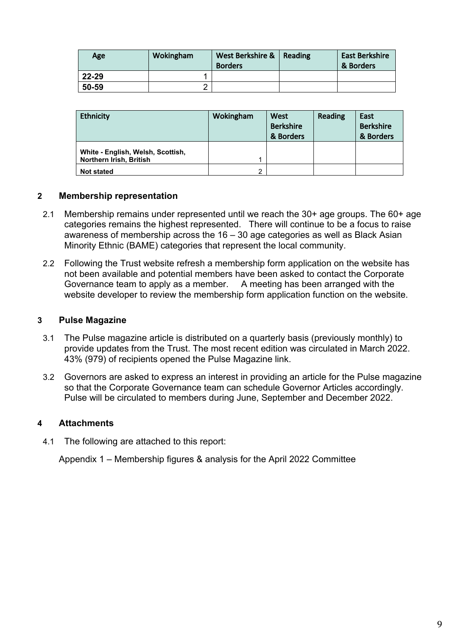| Age   | Wokingham | West Berkshire &   Reading<br><b>Borders</b> | <b>East Berkshire</b><br>& Borders |
|-------|-----------|----------------------------------------------|------------------------------------|
| 22-29 |           |                                              |                                    |
| 50-59 |           |                                              |                                    |

| <b>Ethnicity</b>                                             | Wokingham | West<br><b>Berkshire</b><br>& Borders | Reading | East<br><b>Berkshire</b><br>& Borders |
|--------------------------------------------------------------|-----------|---------------------------------------|---------|---------------------------------------|
| White - English, Welsh, Scottish,<br>Northern Irish, British |           |                                       |         |                                       |
| <b>Not stated</b>                                            | 2         |                                       |         |                                       |

## **2 Membership representation**

- 2.1 Membership remains under represented until we reach the 30+ age groups. The 60+ age categories remains the highest represented. There will continue to be a focus to raise awareness of membership across the 16 – 30 age categories as well as Black Asian Minority Ethnic (BAME) categories that represent the local community.
- 2.2 Following the Trust website refresh a membership form application on the website has not been available and potential members have been asked to contact the Corporate Governance team to apply as a member. A meeting has been arranged with the website developer to review the membership form application function on the website.

## **3 Pulse Magazine**

- 3.1 The Pulse magazine article is distributed on a quarterly basis (previously monthly) to provide updates from the Trust. The most recent edition was circulated in March 2022. 43% (979) of recipients opened the Pulse Magazine link.
- 3.2 Governors are asked to express an interest in providing an article for the Pulse magazine so that the Corporate Governance team can schedule Governor Articles accordingly. Pulse will be circulated to members during June, September and December 2022.

## **4 Attachments**

4.1 The following are attached to this report:

Appendix 1 – Membership figures & analysis for the April 2022 Committee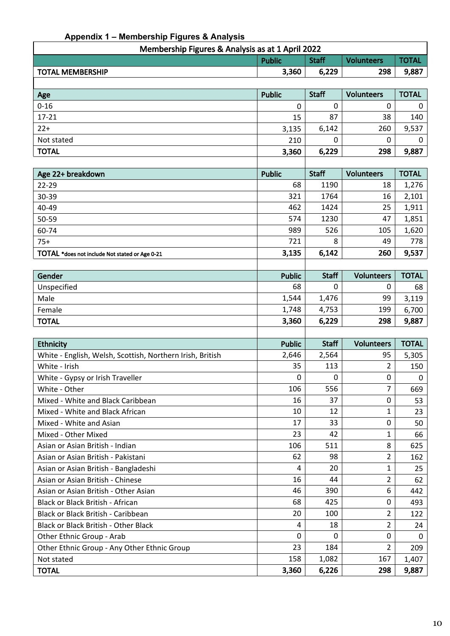## **Appendix 1 – Membership Figures & Analysis**

| Membership Figures & Analysis as at 1 April 2022                   |       |       |     |       |  |
|--------------------------------------------------------------------|-------|-------|-----|-------|--|
| <b>Staff</b><br><b>TOTAL</b><br><b>Volunteers</b><br><b>Public</b> |       |       |     |       |  |
| <b>TOTAL MEMBERSHIP</b>                                            | 3,360 | 6,229 | 298 | 9,887 |  |
|                                                                    |       |       |     |       |  |

| Age          | <b>Public</b> | <b>Staff</b> | <b>Volunteers</b> | <b>TOTAL</b> |
|--------------|---------------|--------------|-------------------|--------------|
| $0 - 16$     | 0             |              | 0                 |              |
| $17 - 21$    | 15            | 87           | 38                | 140          |
| $22+$        | 3,135         | 6,142        | 260               | 9,537        |
| Not stated   | 210           |              | 0                 |              |
| <b>TOTAL</b> | 3,360         | 6,229        | 298               | 9,887        |
|              |               |              |                   |              |

| Age 22+ breakdown                              | <b>Public</b> | <b>Staff</b> | <b>Volunteers</b> | <b>TOTAL</b> |
|------------------------------------------------|---------------|--------------|-------------------|--------------|
| 22-29                                          | 68            | 1190         | 18                | 1,276        |
| 30-39                                          | 321           | 1764         | 16                | 2,101        |
| 40-49                                          | 462           | 1424         | 25                | 1,911        |
| 50-59                                          | 574           | 1230         | 47                | 1,851        |
| 60-74                                          | 989           | 526          | 105               | 1,620        |
| $75+$                                          | 721           | 8            | 49                | 778          |
| TOTAL *does not include Not stated or Age 0-21 | 3,135         | 6,142        | 260               | 9,537        |

| Gender       | <b>Public</b> | <b>Staff</b> | <b>Volunteers</b> | <b>TOTAL</b> |
|--------------|---------------|--------------|-------------------|--------------|
| Unspecified  | 68            |              |                   | 68           |
| Male         | 1,544         | 1,476        | 99                | 3.119        |
| Female       | 1,748         | 4,753        | 199               | 6,700        |
| <b>TOTAL</b> | 3,360         | 6,229        | 298               | 9,887        |

| <b>Ethnicity</b>                                          | <b>Public</b> | <b>Staff</b> | <b>Volunteers</b> | <b>TOTAL</b> |
|-----------------------------------------------------------|---------------|--------------|-------------------|--------------|
|                                                           |               |              |                   |              |
| White - English, Welsh, Scottish, Northern Irish, British | 2,646         | 2,564        | 95                | 5,305        |
| White - Irish                                             | 35            | 113          | 2                 | 150          |
| White - Gypsy or Irish Traveller                          | $\Omega$      | $\Omega$     | $\Omega$          | 0            |
| White - Other                                             | 106           | 556          | 7                 | 669          |
| Mixed - White and Black Caribbean                         | 16            | 37           | 0                 | 53           |
| Mixed - White and Black African                           | 10            | 12           | 1                 | 23           |
| Mixed - White and Asian                                   | 17            | 33           | $\Omega$          | 50           |
| Mixed - Other Mixed                                       | 23            | 42           | 1                 | 66           |
| Asian or Asian British - Indian                           | 106           | 511          | 8                 | 625          |
| Asian or Asian British - Pakistani                        | 62            | 98           | 2                 | 162          |
| Asian or Asian British - Bangladeshi                      | 4             | 20           | 1                 | 25           |
| Asian or Asian British - Chinese                          | 16            | 44           | 2                 | 62           |
| Asian or Asian British - Other Asian                      | 46            | 390          | 6                 | 442          |
| Black or Black British - African                          | 68            | 425          | $\Omega$          | 493          |
| Black or Black British - Caribbean                        | 20            | 100          | 2                 | 122          |
| <b>Black or Black British - Other Black</b>               | 4             | 18           | 2                 | 24           |
| Other Ethnic Group - Arab                                 | $\Omega$      | $\Omega$     | $\Omega$          | $\Omega$     |
| Other Ethnic Group - Any Other Ethnic Group               | 23            | 184          | 2                 | 209          |
| Not stated                                                | 158           | 1,082        | 167               | 1,407        |
| <b>TOTAL</b>                                              | 3,360         | 6,226        | 298               | 9,887        |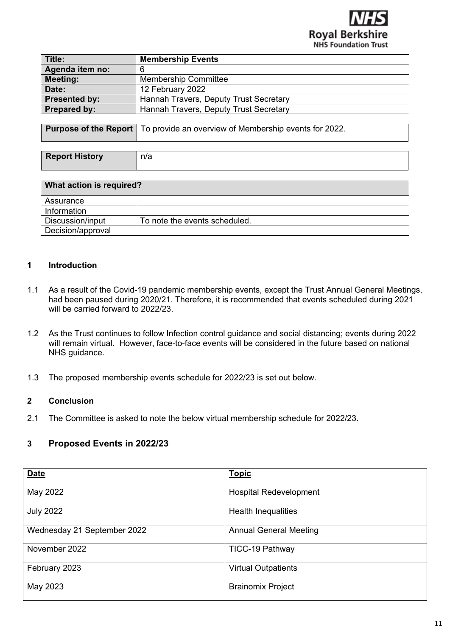

<span id="page-10-0"></span>

| Title:               | <b>Membership Events</b>               |
|----------------------|----------------------------------------|
| Agenda item no:      | 6                                      |
| <b>Meeting:</b>      | <b>Membership Committee</b>            |
| Date:                | 12 February 2022                       |
| <b>Presented by:</b> | Hannah Travers, Deputy Trust Secretary |
| Prepared by:         | Hannah Travers, Deputy Trust Secretary |

|  | <b>Purpose of the Report</b>   To provide an overview of Membership events for 2022. |
|--|--------------------------------------------------------------------------------------|
|--|--------------------------------------------------------------------------------------|

| <b>Report History</b> | n/a |
|-----------------------|-----|

| What action is required? |                               |  |
|--------------------------|-------------------------------|--|
| Assurance                |                               |  |
| Information              |                               |  |
| Discussion/input         | To note the events scheduled. |  |
| Decision/approval        |                               |  |

## **1 Introduction**

- 1.1 As a result of the Covid-19 pandemic membership events, except the Trust Annual General Meetings, had been paused during 2020/21. Therefore, it is recommended that events scheduled during 2021 will be carried forward to 2022/23.
- 1.2 As the Trust continues to follow Infection control guidance and social distancing; events during 2022 will remain virtual. However, face-to-face events will be considered in the future based on national NHS guidance.
- 1.3 The proposed membership events schedule for 2022/23 is set out below.

## **2 Conclusion**

2.1 The Committee is asked to note the below virtual membership schedule for 2022/23.

## **3 Proposed Events in 2022/23**

| <b>Date</b>                 | <b>Topic</b>                  |
|-----------------------------|-------------------------------|
| May 2022                    | <b>Hospital Redevelopment</b> |
| <b>July 2022</b>            | <b>Health Inequalities</b>    |
| Wednesday 21 September 2022 | <b>Annual General Meeting</b> |
| November 2022               | TICC-19 Pathway               |
| February 2023               | <b>Virtual Outpatients</b>    |
| May 2023                    | <b>Brainomix Project</b>      |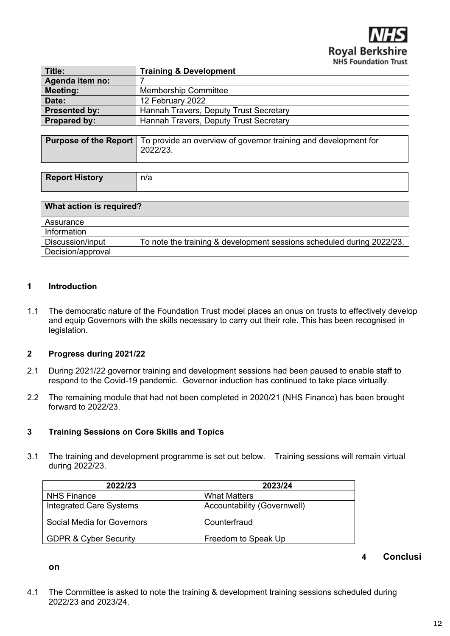**Royal Berksh NHS Foundation Trust** 

<span id="page-11-0"></span>

| Title:               | <b>Training &amp; Development</b>      |
|----------------------|----------------------------------------|
|                      |                                        |
| Agenda item no:      |                                        |
| <b>Meeting:</b>      | <b>Membership Committee</b>            |
| Date:                | 12 February 2022                       |
| <b>Presented by:</b> | Hannah Travers, Deputy Trust Secretary |
| <b>Prepared by:</b>  | Hannah Travers, Deputy Trust Secretary |
|                      |                                        |

**Purpose of the Report** To provide an overview of governor training and development for 2022/23.

| <b>Report History</b> | n/a |
|-----------------------|-----|

| What action is required? |                                                                       |
|--------------------------|-----------------------------------------------------------------------|
| Assurance                |                                                                       |
| Information              |                                                                       |
| Discussion/input         | To note the training & development sessions scheduled during 2022/23. |
| Decision/approval        |                                                                       |

## **1 Introduction**

**on**

1.1 The democratic nature of the Foundation Trust model places an onus on trusts to effectively develop and equip Governors with the skills necessary to carry out their role. This has been recognised in legislation.

## **2 Progress during 2021/22**

- 2.1 During 2021/22 governor training and development sessions had been paused to enable staff to respond to the Covid-19 pandemic. Governor induction has continued to take place virtually.
- 2.2 The remaining module that had not been completed in 2020/21 (NHS Finance) has been brought forward to 2022/23.

## **3 Training Sessions on Core Skills and Topics**

3.1 The training and development programme is set out below. Training sessions will remain virtual during 2022/23.

| 2023/24                     |
|-----------------------------|
| <b>What Matters</b>         |
| Accountability (Governwell) |
| Counterfraud                |
| Freedom to Speak Up         |
|                             |

## **4 Conclusi**

4.1 The Committee is asked to note the training & development training sessions scheduled during 2022/23 and 2023/24.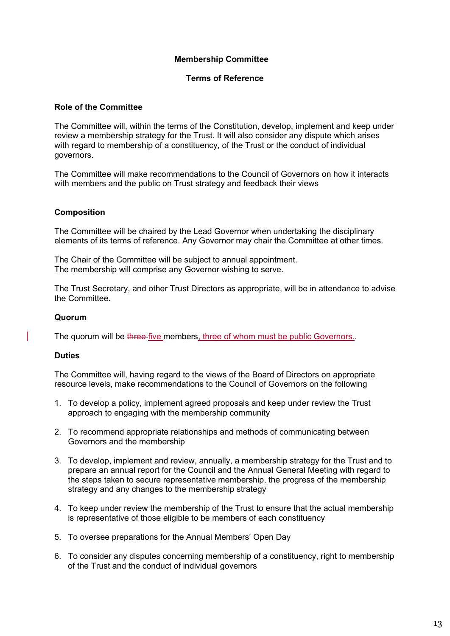## **Membership Committee**

## **Terms of Reference**

## <span id="page-12-0"></span>**Role of the Committee**

The Committee will, within the terms of the Constitution, develop, implement and keep under review a membership strategy for the Trust. It will also consider any dispute which arises with regard to membership of a constituency, of the Trust or the conduct of individual governors.

The Committee will make recommendations to the Council of Governors on how it interacts with members and the public on Trust strategy and feedback their views

## **Composition**

The Committee will be chaired by the Lead Governor when undertaking the disciplinary elements of its terms of reference. Any Governor may chair the Committee at other times.

The Chair of the Committee will be subject to annual appointment. The membership will comprise any Governor wishing to serve.

The Trust Secretary, and other Trust Directors as appropriate, will be in attendance to advise the Committee.

## **Quorum**

The quorum will be three-five members, three of whom must be public Governors..

## **Duties**

The Committee will, having regard to the views of the Board of Directors on appropriate resource levels, make recommendations to the Council of Governors on the following

- 1. To develop a policy, implement agreed proposals and keep under review the Trust approach to engaging with the membership community
- 2. To recommend appropriate relationships and methods of communicating between Governors and the membership
- 3. To develop, implement and review, annually, a membership strategy for the Trust and to prepare an annual report for the Council and the Annual General Meeting with regard to the steps taken to secure representative membership, the progress of the membership strategy and any changes to the membership strategy
- 4. To keep under review the membership of the Trust to ensure that the actual membership is representative of those eligible to be members of each constituency
- 5. To oversee preparations for the Annual Members' Open Day
- 6. To consider any disputes concerning membership of a constituency, right to membership of the Trust and the conduct of individual governors